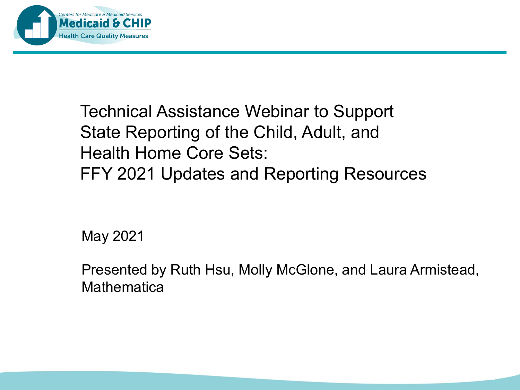

### Technical Assistance Webinar to Support State Reporting of the Child, Adult, and Health Home Core Sets: FFY 2021 Updates and Reporting Resources

May 2021

Presented by Ruth Hsu, Molly McGlone, and Laura Armistead, **Mathematica**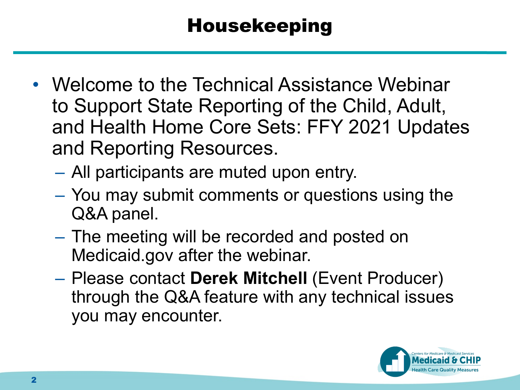### Housekeeping

- Welcome to the Technical Assistance Webinar to Support State Reporting of the Child, Adult, and Health Home Core Sets: FFY 2021 Updates and Reporting Resources.
	- All participants are muted upon entry.
	- You may submit comments or questions using the Q&A panel.
	- The meeting will be recorded and posted on Medicaid.gov after the webinar.
	- Please contact **Derek Mitchell** (Event Producer) through the Q&A feature with any technical issues you may encounter.

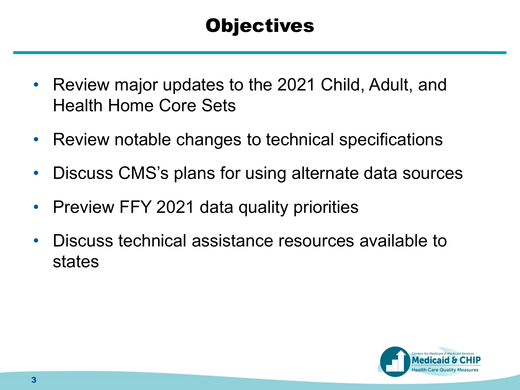### **Objectives**

- Review major updates to the 2021 Child, Adult, and Health Home Core Sets
- Review notable changes to technical specifications
- Discuss CMS's plans for using alternate data sources
- Preview FFY 2021 data quality priorities
- Discuss technical assistance resources available to states

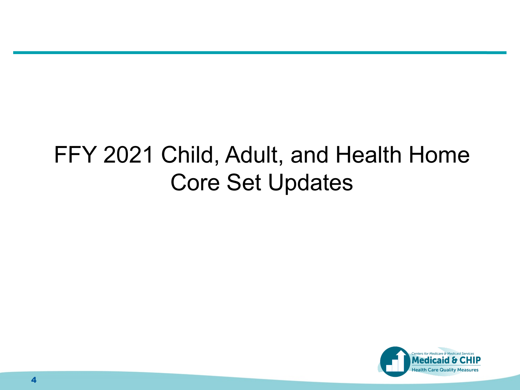## FFY 2021 Child, Adult, and Health Home Core Set Updates

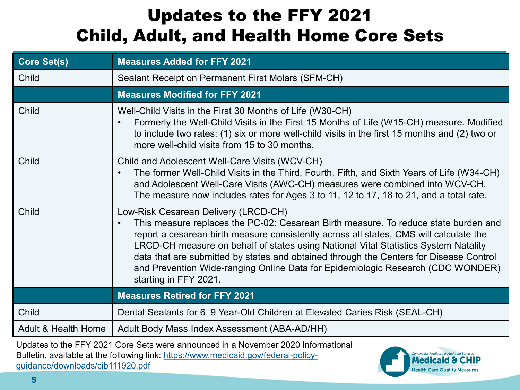### Updates to the FFY 2021 Child, Adult, and Health Home Core Sets

| <b>Core Set(s)</b>  | <b>Measures Added for FFY 2021</b>                                                                                                                                                                                                                                                                                                                                                                                                                                                                                              |
|---------------------|---------------------------------------------------------------------------------------------------------------------------------------------------------------------------------------------------------------------------------------------------------------------------------------------------------------------------------------------------------------------------------------------------------------------------------------------------------------------------------------------------------------------------------|
| Child               | Sealant Receipt on Permanent First Molars (SFM-CH)                                                                                                                                                                                                                                                                                                                                                                                                                                                                              |
|                     | <b>Measures Modified for FFY 2021</b>                                                                                                                                                                                                                                                                                                                                                                                                                                                                                           |
| Child               | Well-Child Visits in the First 30 Months of Life (W30-CH)<br>Formerly the Well-Child Visits in the First 15 Months of Life (W15-CH) measure. Modified<br>$\bullet$<br>to include two rates: (1) six or more well-child visits in the first 15 months and (2) two or<br>more well-child visits from 15 to 30 months.                                                                                                                                                                                                             |
| Child               | Child and Adolescent Well-Care Visits (WCV-CH)<br>The former Well-Child Visits in the Third, Fourth, Fifth, and Sixth Years of Life (W34-CH)<br>$\bullet$<br>and Adolescent Well-Care Visits (AWC-CH) measures were combined into WCV-CH.<br>The measure now includes rates for Ages 3 to 11, 12 to 17, 18 to 21, and a total rate.                                                                                                                                                                                             |
| Child               | Low-Risk Cesarean Delivery (LRCD-CH)<br>This measure replaces the PC-02: Cesarean Birth measure. To reduce state burden and<br>$\bullet$<br>report a cesarean birth measure consistently across all states, CMS will calculate the<br>LRCD-CH measure on behalf of states using National Vital Statistics System Natality<br>data that are submitted by states and obtained through the Centers for Disease Control<br>and Prevention Wide-ranging Online Data for Epidemiologic Research (CDC WONDER)<br>starting in FFY 2021. |
|                     | <b>Measures Retired for FFY 2021</b>                                                                                                                                                                                                                                                                                                                                                                                                                                                                                            |
| Child               | Dental Sealants for 6-9 Year-Old Children at Elevated Caries Risk (SEAL-CH)                                                                                                                                                                                                                                                                                                                                                                                                                                                     |
| Adult & Health Home | Adult Body Mass Index Assessment (ABA-AD/HH)                                                                                                                                                                                                                                                                                                                                                                                                                                                                                    |

Updates to the FFY 2021 Core Sets were announced in a November 2020 Informational [Bulletin, available at the following link: https://www.medicaid.gov/federal-policy](https://www.medicaid.gov/federal-policy-guidance/downloads/cib111920.pdf)guidance/downloads/cib111920.pdf

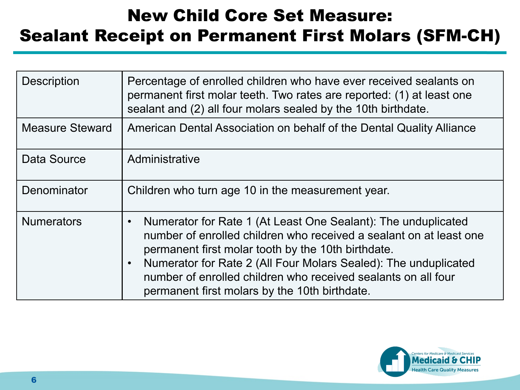#### New Child Core Set Measure: Sealant Receipt on Permanent First Molars (SFM-CH)

| <b>Description</b>     | Percentage of enrolled children who have ever received sealants on<br>permanent first molar teeth. Two rates are reported: (1) at least one<br>sealant and (2) all four molars sealed by the 10th birthdate.                                                                                                                                                                                             |
|------------------------|----------------------------------------------------------------------------------------------------------------------------------------------------------------------------------------------------------------------------------------------------------------------------------------------------------------------------------------------------------------------------------------------------------|
| <b>Measure Steward</b> | American Dental Association on behalf of the Dental Quality Alliance                                                                                                                                                                                                                                                                                                                                     |
| Data Source            | Administrative                                                                                                                                                                                                                                                                                                                                                                                           |
| Denominator            | Children who turn age 10 in the measurement year.                                                                                                                                                                                                                                                                                                                                                        |
| <b>Numerators</b>      | Numerator for Rate 1 (At Least One Sealant): The unduplicated<br>$\bullet$<br>number of enrolled children who received a sealant on at least one<br>permanent first molar tooth by the 10th birthdate.<br>Numerator for Rate 2 (All Four Molars Sealed): The unduplicated<br>$\bullet$<br>number of enrolled children who received sealants on all four<br>permanent first molars by the 10th birthdate. |

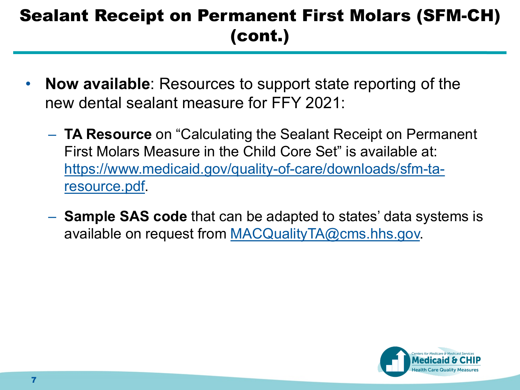### Sealant Receipt on Permanent First Molars (SFM-CH) (cont.)

- **Now available**: Resources to support state reporting of the new dental sealant measure for FFY 2021:
	- **TA Resource** on "Calculating the Sealant Receipt on Permanent First Molars Measure in the Child Core Set" is available at: [https://www.medicaid.gov/quality-of-care/downloads/sfm-ta](https://www.medicaid.gov/quality-of-care/downloads/sfm-ta-resource.pdf)resource.pdf.
	- **Sample SAS code** that can be adapted to states' data systems is available on request from [MACQualityTA@cms.hhs.gov.](mailto:MACQualityTA@cms.hhs.gov)

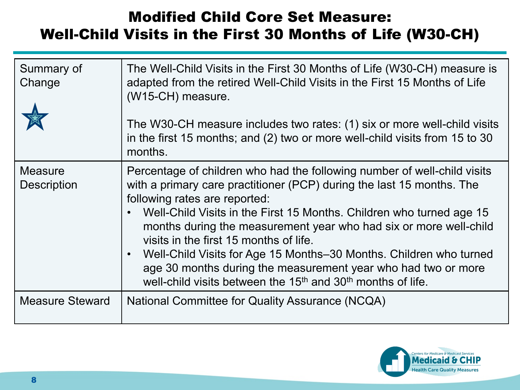#### Modified Child Core Set Measure: Well-Child Visits in the First 30 Months of Life (W30-CH)

| Summary of<br>Change                 | The Well-Child Visits in the First 30 Months of Life (W30-CH) measure is<br>adapted from the retired Well-Child Visits in the First 15 Months of Life<br>(W15-CH) measure.<br>The W30-CH measure includes two rates: (1) six or more well-child visits<br>in the first 15 months; and (2) two or more well-child visits from 15 to 30<br>months.                                                                                                                                                                                                                                                        |
|--------------------------------------|---------------------------------------------------------------------------------------------------------------------------------------------------------------------------------------------------------------------------------------------------------------------------------------------------------------------------------------------------------------------------------------------------------------------------------------------------------------------------------------------------------------------------------------------------------------------------------------------------------|
| <b>Measure</b><br><b>Description</b> | Percentage of children who had the following number of well-child visits<br>with a primary care practitioner (PCP) during the last 15 months. The<br>following rates are reported:<br>Well-Child Visits in the First 15 Months. Children who turned age 15<br>months during the measurement year who had six or more well-child<br>visits in the first 15 months of life.<br>Well-Child Visits for Age 15 Months-30 Months. Children who turned<br>age 30 months during the measurement year who had two or more<br>well-child visits between the 15 <sup>th</sup> and 30 <sup>th</sup> months of life. |
| <b>Measure Steward</b>               | National Committee for Quality Assurance (NCQA)                                                                                                                                                                                                                                                                                                                                                                                                                                                                                                                                                         |

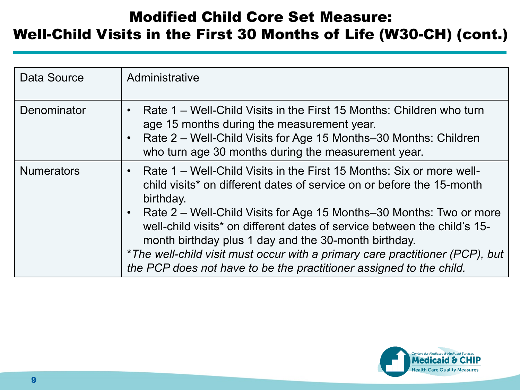#### Modified Child Core Set Measure: Well-Child Visits in the First 30 Months of Life (W30-CH) (cont.)

| Data Source       | Administrative                                                                                                                                                                                                                                                                                                                                                                                                                                                                                                                                                      |
|-------------------|---------------------------------------------------------------------------------------------------------------------------------------------------------------------------------------------------------------------------------------------------------------------------------------------------------------------------------------------------------------------------------------------------------------------------------------------------------------------------------------------------------------------------------------------------------------------|
| Denominator       | Rate 1 – Well-Child Visits in the First 15 Months: Children who turn<br>$\bullet$<br>age 15 months during the measurement year.<br>Rate 2 – Well-Child Visits for Age 15 Months–30 Months: Children<br>$\bullet$<br>who turn age 30 months during the measurement year.                                                                                                                                                                                                                                                                                             |
| <b>Numerators</b> | Rate 1 – Well-Child Visits in the First 15 Months: Six or more well-<br>$\bullet$<br>child visits* on different dates of service on or before the 15-month<br>birthday.<br>Rate 2 – Well-Child Visits for Age 15 Months–30 Months: Two or more<br>$\bullet$<br>well-child visits <sup>*</sup> on different dates of service between the child's 15-<br>month birthday plus 1 day and the 30-month birthday.<br>* The well-child visit must occur with a primary care practitioner (PCP), but<br>the PCP does not have to be the practitioner assigned to the child. |

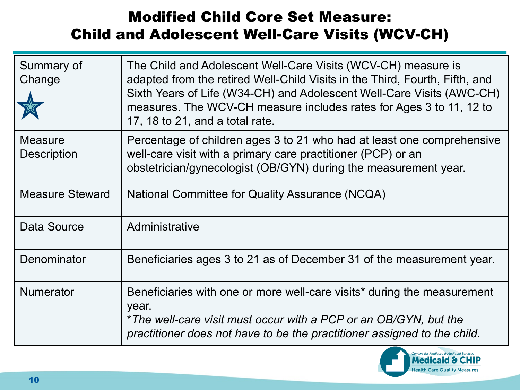#### Modified Child Core Set Measure: Child and Adolescent Well-Care Visits (WCV-CH)

| Summary of<br>Change                 | The Child and Adolescent Well-Care Visits (WCV-CH) measure is<br>adapted from the retired Well-Child Visits in the Third, Fourth, Fifth, and<br>Sixth Years of Life (W34-CH) and Adolescent Well-Care Visits (AWC-CH)<br>measures. The WCV-CH measure includes rates for Ages 3 to 11, 12 to<br>17, 18 to 21, and a total rate. |
|--------------------------------------|---------------------------------------------------------------------------------------------------------------------------------------------------------------------------------------------------------------------------------------------------------------------------------------------------------------------------------|
| <b>Measure</b><br><b>Description</b> | Percentage of children ages 3 to 21 who had at least one comprehensive<br>well-care visit with a primary care practitioner (PCP) or an<br>obstetrician/gynecologist (OB/GYN) during the measurement year.                                                                                                                       |
| <b>Measure Steward</b>               | National Committee for Quality Assurance (NCQA)                                                                                                                                                                                                                                                                                 |
| Data Source                          | Administrative                                                                                                                                                                                                                                                                                                                  |
| Denominator                          | Beneficiaries ages 3 to 21 as of December 31 of the measurement year.                                                                                                                                                                                                                                                           |
| <b>Numerator</b>                     | Beneficiaries with one or more well-care visits* during the measurement<br>year.<br>*The well-care visit must occur with a PCP or an OB/GYN, but the<br>practitioner does not have to be the practitioner assigned to the child.                                                                                                |

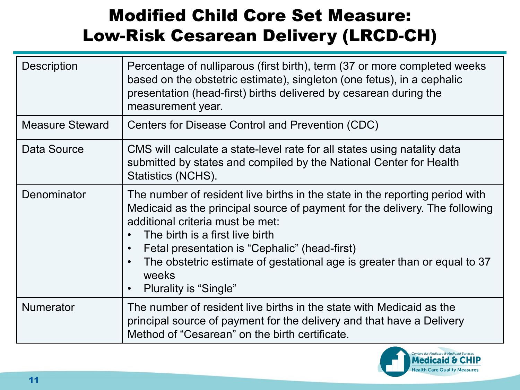### Modified Child Core Set Measure: Low-Risk Cesarean Delivery (LRCD-CH)

| <b>Description</b>     | Percentage of nulliparous (first birth), term (37 or more completed weeks<br>based on the obstetric estimate), singleton (one fetus), in a cephalic<br>presentation (head-first) births delivered by cesarean during the<br>measurement year.                                                                                                                                                                                                                |
|------------------------|--------------------------------------------------------------------------------------------------------------------------------------------------------------------------------------------------------------------------------------------------------------------------------------------------------------------------------------------------------------------------------------------------------------------------------------------------------------|
| <b>Measure Steward</b> | Centers for Disease Control and Prevention (CDC)                                                                                                                                                                                                                                                                                                                                                                                                             |
| Data Source            | CMS will calculate a state-level rate for all states using natality data<br>submitted by states and compiled by the National Center for Health<br>Statistics (NCHS).                                                                                                                                                                                                                                                                                         |
| Denominator            | The number of resident live births in the state in the reporting period with<br>Medicaid as the principal source of payment for the delivery. The following<br>additional criteria must be met:<br>The birth is a first live birth<br>$\bullet$<br>Fetal presentation is "Cephalic" (head-first)<br>$\bullet$<br>The obstetric estimate of gestational age is greater than or equal to 37<br>$\bullet$<br>weeks<br><b>Plurality is "Single"</b><br>$\bullet$ |
| <b>Numerator</b>       | The number of resident live births in the state with Medicaid as the<br>principal source of payment for the delivery and that have a Delivery<br>Method of "Cesarean" on the birth certificate.                                                                                                                                                                                                                                                              |

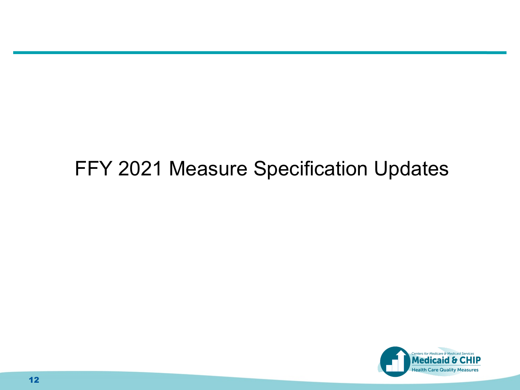### FFY 2021 Measure Specification Updates

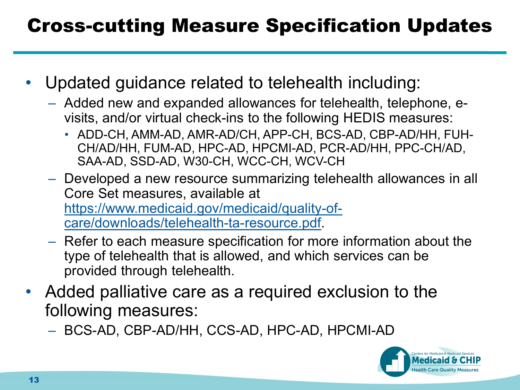### Cross-cutting Measure Specification Updates

- Updated guidance related to telehealth including:
	- Added new and expanded allowances for telehealth, telephone, evisits, and/or virtual check-ins to the following HEDIS measures:
		- ADD-CH, AMM-AD, AMR-AD/CH, APP-CH, BCS-AD, CBP-AD/HH, FUH-CH/AD/HH, FUM-AD, HPC-AD, HPCMI-AD, PCR-AD/HH, PPC-CH/AD, SAA-AD, SSD-AD, W30-CH, WCC-CH, WCV-CH
	- Developed a new resource summarizing telehealth allowances in all Core Set measures, available at [https://www.medicaid.gov/medicaid/quality-of](https://www.medicaid.gov/medicaid/quality-of-care/downloads/telehealth-ta-resource.pdf)care/downloads/telehealth-ta-resource.pdf.
	- Refer to each measure specification for more information about the type of telehealth that is allowed, and which services can be provided through telehealth.
- Added palliative care as a required exclusion to the following measures:
	- BCS-AD, CBP-AD/HH, CCS-AD, HPC-AD, HPCMI-AD

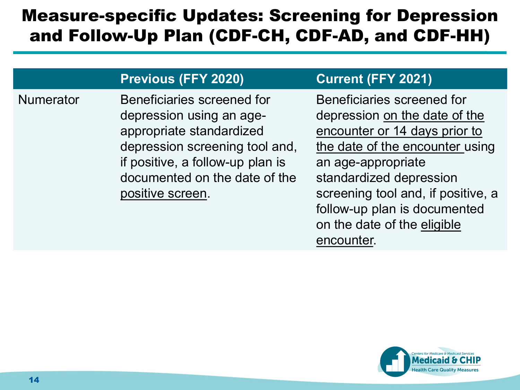#### Measure-specific Updates: Screening for Depression and Follow-Up Plan (CDF-CH, CDF-AD, and CDF-HH)

#### **. Previous (FFY 2020) Current (FFY 2021)**

Numerator Beneficiaries screened for depression using an ageappropriate standardized depression screening tool and, if positive, a follow-up plan is documented on the date of the positive screen.

Beneficiaries screened for depression on the date of the encounter or 14 days prior to the date of the encounter using an age-appropriate standardized depression screening tool and, if positive, a follow-up plan is documented on the date of the eligible encounter.

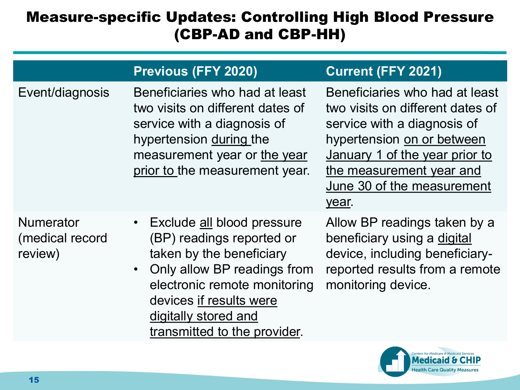#### Measure-specific Updates: Controlling High Blood Pressure (CBP-AD and CBP-HH)

|                                                | <b>Previous (FFY 2020)</b>                                                                                                                                                                                                                           | <b>Current (FFY 2021)</b>                                                                                                                                                                                                            |
|------------------------------------------------|------------------------------------------------------------------------------------------------------------------------------------------------------------------------------------------------------------------------------------------------------|--------------------------------------------------------------------------------------------------------------------------------------------------------------------------------------------------------------------------------------|
| Event/diagnosis                                | Beneficiaries who had at least<br>two visits on different dates of<br>service with a diagnosis of<br>hypertension during the<br>measurement year or the year<br>prior to the measurement year.                                                       | Beneficiaries who had at least<br>two visits on different dates of<br>service with a diagnosis of<br>hypertension on or between<br>January 1 of the year prior to<br>the measurement year and<br>June 30 of the measurement<br>year. |
| <b>Numerator</b><br>(medical record<br>review) | • Exclude all blood pressure<br>(BP) readings reported or<br>taken by the beneficiary<br>Only allow BP readings from<br>$\bullet$<br>electronic remote monitoring<br>devices if results were<br>digitally stored and<br>transmitted to the provider. | Allow BP readings taken by a<br>beneficiary using a digital<br>device, including beneficiary-<br>reported results from a remote<br>monitoring device.                                                                                |

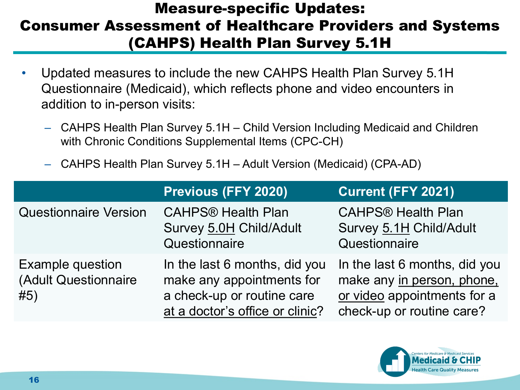#### Measure-specific Updates: Consumer Assessment of Healthcare Providers and Systems (CAHPS) Health Plan Survey 5.1H

- Updated measures to include the new CAHPS Health Plan Survey 5.1H Questionnaire (Medicaid), which reflects phone and video encounters in addition to in-person visits:
	- CAHPS Health Plan Survey 5.1H Child Version Including Medicaid and Children with Chronic Conditions Supplemental Items (CPC-CH)
	- CAHPS Health Plan Survey 5.1H Adult Version (Medicaid) (CPA-AD)

|                                                        | <b>Previous (FFY 2020)</b>                                                                                                  | <b>Current (FFY 2021)</b>                                                                                               |
|--------------------------------------------------------|-----------------------------------------------------------------------------------------------------------------------------|-------------------------------------------------------------------------------------------------------------------------|
| <b>Questionnaire Version</b>                           | <b>CAHPS® Health Plan</b><br>Survey 5.0H Child/Adult<br>Questionnaire                                                       | <b>CAHPS® Health Plan</b><br>Survey 5.1H Child/Adult<br>Questionnaire                                                   |
| <b>Example question</b><br>(Adult Questionnaire<br>#5) | In the last 6 months, did you<br>make any appointments for<br>a check-up or routine care<br>at a doctor's office or clinic? | In the last 6 months, did you<br>make any in person, phone,<br>or video appointments for a<br>check-up or routine care? |

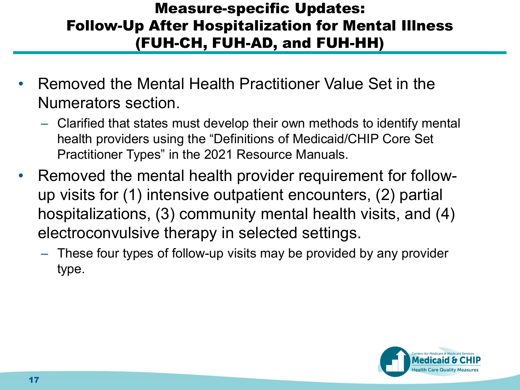#### Measure-specific Updates: Follow-Up After Hospitalization for Mental Illness (FUH-CH, FUH-AD, and FUH-HH)

- Removed the Mental Health Practitioner Value Set in the Numerators section.
	- Clarified that states must develop their own methods to identify mental health providers using the "Definitions of Medicaid/CHIP Core Set Practitioner Types" in the 2021 Resource Manuals.
- Removed the mental health provider requirement for followup visits for (1) intensive outpatient encounters, (2) partial hospitalizations, (3) community mental health visits, and (4) electroconvulsive therapy in selected settings.
	- These four types of follow-up visits may be provided by any provider type.

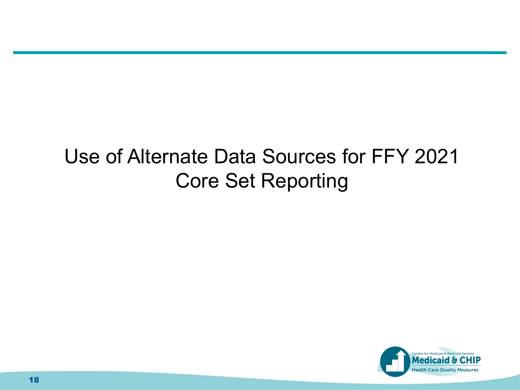### Use of Alternate Data Sources for FFY 2021 Core Set Reporting

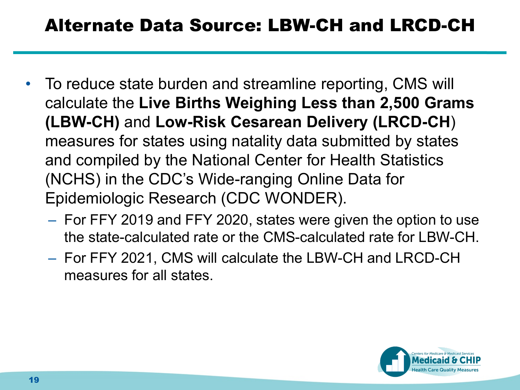#### Alternate Data Source: LBW-CH and LRCD-CH

- To reduce state burden and streamline reporting, CMS will calculate the **Live Births Weighing Less than 2,500 Grams (LBW-CH)** and **Low-Risk Cesarean Delivery (LRCD-CH**) measures for states using natality data submitted by states and compiled by the National Center for Health Statistics (NCHS) in the CDC's Wide-ranging Online Data for Epidemiologic Research (CDC WONDER).
	- For FFY 2019 and FFY 2020, states were given the option to use the state-calculated rate or the CMS-calculated rate for LBW-CH.
	- For FFY 2021, CMS will calculate the LBW-CH and LRCD-CH measures for all states.

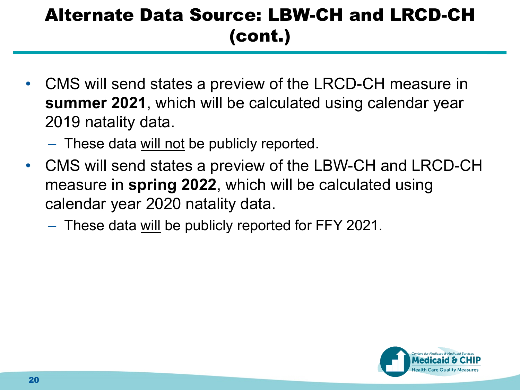### Alternate Data Source: LBW-CH and LRCD-CH (cont.)

- CMS will send states a preview of the LRCD-CH measure in **summer 2021**, which will be calculated using calendar year 2019 natality data.
	- These data will not be publicly reported.
- CMS will send states a preview of the LBW-CH and LRCD-CH measure in **spring 2022**, which will be calculated using calendar year 2020 natality data.
	- These data will be publicly reported for FFY 2021.

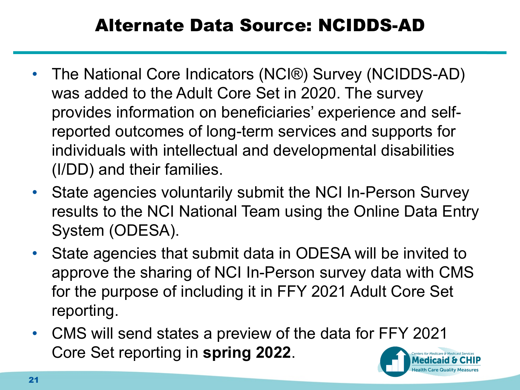### Alternate Data Source: NCIDDS-AD

- The National Core Indicators (NCI®) Survey (NCIDDS-AD) was added to the Adult Core Set in 2020. The survey provides information on beneficiaries' experience and selfreported outcomes of long-term services and supports for individuals with intellectual and developmental disabilities (I/DD) and their families.
- State agencies voluntarily submit the NCI In-Person Survey results to the NCI National Team using the Online Data Entry System (ODESA).
- State agencies that submit data in ODESA will be invited to approve the sharing of NCI In-Person survey data with CMS for the purpose of including it in FFY 2021 Adult Core Set reporting.
- CMS will send states a preview of the data for FFY 2021 Core Set reporting in **spring 2022**.

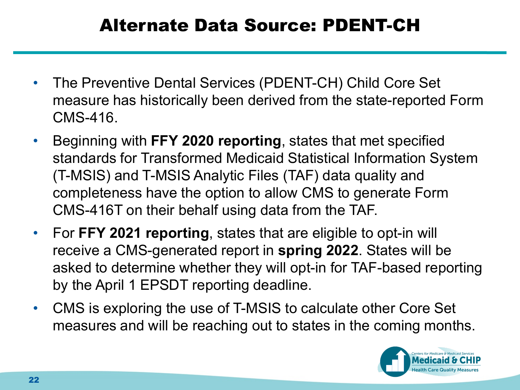#### Alternate Data Source: PDENT-CH

- The Preventive Dental Services (PDENT-CH) Child Core Set measure has historically been derived from the state-reported Form CMS-416.
- Beginning with **FFY 2020 reporting**, states that met specified standards for Transformed Medicaid Statistical Information System (T-MSIS) and T-MSIS Analytic Files (TAF) data quality and completeness have the option to allow CMS to generate Form CMS-416T on their behalf using data from the TAF.
- For **FFY 2021 reporting**, states that are eligible to opt-in will receive a CMS-generated report in **spring 2022**. States will be asked to determine whether they will opt-in for TAF-based reporting by the April 1 EPSDT reporting deadline.
- CMS is exploring the use of T-MSIS to calculate other Core Set measures and will be reaching out to states in the coming months.

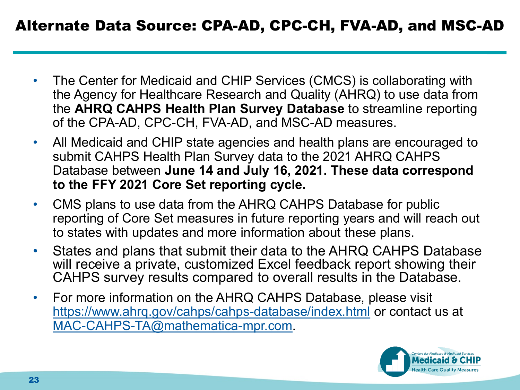- The Center for Medicaid and CHIP Services (CMCS) is collaborating with the Agency for Healthcare Research and Quality (AHRQ) to use data from the **AHRQ CAHPS Health Plan Survey Database** to streamline reporting of the CPA-AD, CPC-CH, FVA-AD, and MSC-AD measures.
- All Medicaid and CHIP state agencies and health plans are encouraged to submit CAHPS Health Plan Survey data to the 2021 AHRQ CAHPS Database between **June 14 and July 16, 2021. These data correspond to the FFY 2021 Core Set reporting cycle.**
- CMS plans to use data from the AHRQ CAHPS Database for public reporting of Core Set measures in future reporting years and will reach out to states with updates and more information about these plans.
- States and plans that submit their data to the AHRQ CAHPS Database will receive a private, customized Excel feedback report showing their CAHPS survey results compared to overall results in the Database.
- For more information on the AHRQ CAHPS Database, please visit <https://www.ahrq.gov/cahps/cahps-database/index.html> or contact us at [MAC-CAHPS-TA@mathematica-mpr.com](mailto:MAC-CAHPS-TA@mathematica-mpr.com).

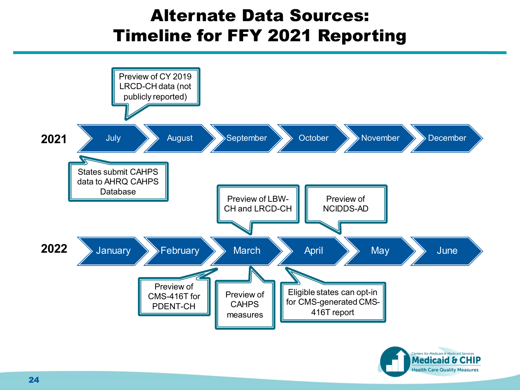#### Alternate Data Sources: Timeline for FFY 2021 Reporting

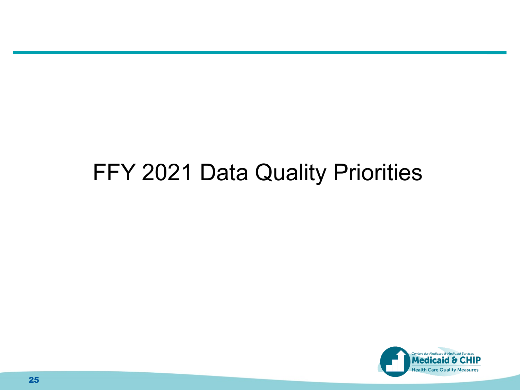### FFY 2021 Data Quality Priorities

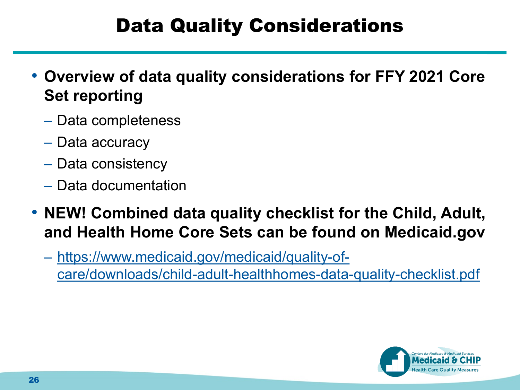### Data Quality Considerations

- **Overview of data quality considerations for FFY 2021 Core Set reporting**
	- Data completeness
	- Data accuracy
	- Data consistency
	- Data documentation
- **NEW! Combined data quality checklist for the Child, Adult, and Health Home Core Sets can be found on Medicaid.gov**
	- https://www.medicaid.gov/medicaid/quality-of[care/downloads/child-adult-healthhomes-data-quality-checklist.pdf](https://www.medicaid.gov/medicaid/quality-of-care/downloads/child-adult-healthhomes-data-quality-checklist.pdf)

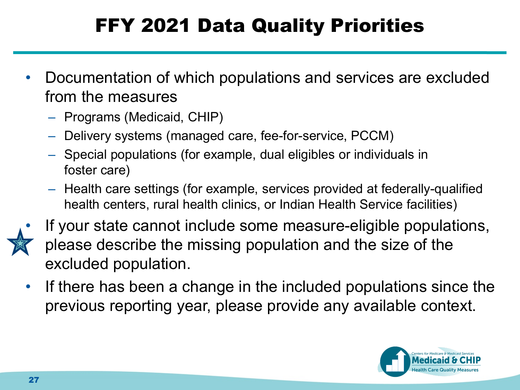### FFY 2021 Data Quality Priorities

- Documentation of which populations and services are excluded from the measures
	- Programs (Medicaid, CHIP)
	- Delivery systems (managed care, fee-for-service, PCCM)
	- Special populations (for example, dual eligibles or individuals in foster care)
	- Health care settings (for example, services provided at federally-qualified health centers, rural health clinics, or Indian Health Service facilities)



- If your state cannot include some measure-eligible populations, please describe the missing population and the size of the excluded population.
- If there has been a change in the included populations since the previous reporting year, please provide any available context.

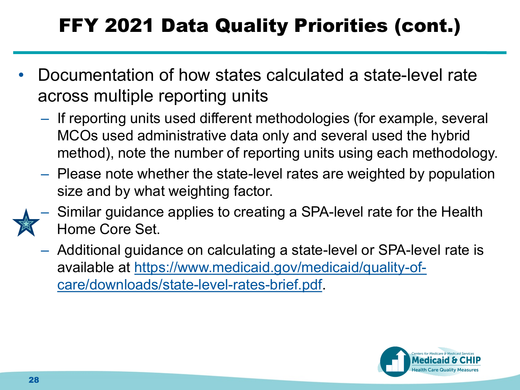### FFY 2021 Data Quality Priorities (cont.)

- Documentation of how states calculated a state-level rate across multiple reporting units
	- If reporting units used different methodologies (for example, several MCOs used administrative data only and several used the hybrid method), note the number of reporting units using each methodology.
	- Please note whether the state-level rates are weighted by population size and by what weighting factor.
	- Similar guidance applies to creating a SPA-level rate for the Health Home Core Set.
		- Additional guidance on calculating a state-level or SPA-level rate is [available at https://www.medicaid.gov/medicaid/quality-of](https://www.medicaid.gov/medicaid/quality-of-care/downloads/state-level-rates-brief.pdf)care/downloads/state-level-rates-brief.pdf.

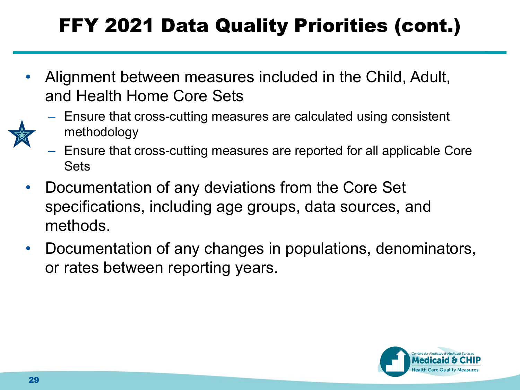### FFY 2021 Data Quality Priorities (cont.)

• Alignment between measures included in the Child, Adult, and Health Home Core Sets



- Ensure that cross-cutting measures are reported for all applicable Core Sets
- Documentation of any deviations from the Core Set specifications, including age groups, data sources, and methods.
- Documentation of any changes in populations, denominators, or rates between reporting years.

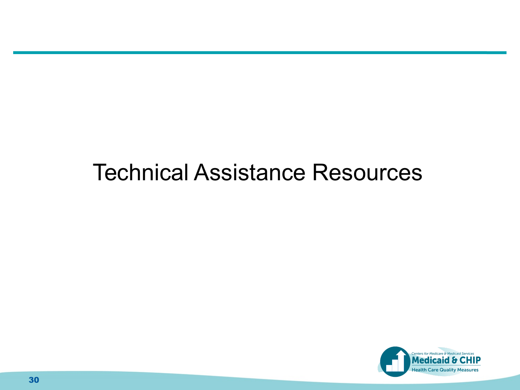### Technical Assistance Resources

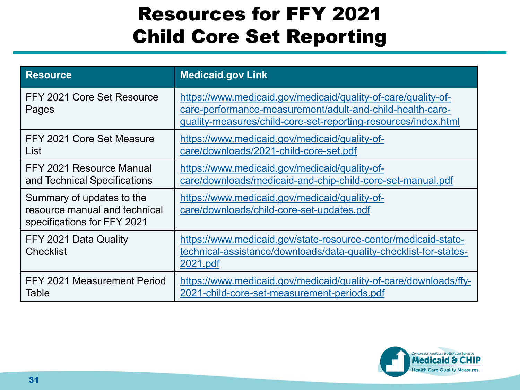### Resources for FFY 2021 Child Core Set Reporting

| <b>Resource</b>                                                                           | <b>Medicaid.gov Link</b>                                                                                                                                                                     |
|-------------------------------------------------------------------------------------------|----------------------------------------------------------------------------------------------------------------------------------------------------------------------------------------------|
| FFY 2021 Core Set Resource<br>Pages                                                       | https://www.medicaid.gov/medicaid/quality-of-care/quality-of-<br>care-performance-measurement/adult-and-child-health-care-<br>quality-measures/child-core-set-reporting-resources/index.html |
| FFY 2021 Core Set Measure<br>List                                                         | https://www.medicaid.gov/medicaid/quality-of-<br>care/downloads/2021-child-core-set.pdf                                                                                                      |
| FFY 2021 Resource Manual<br>and Technical Specifications                                  | https://www.medicaid.gov/medicaid/quality-of-<br>care/downloads/medicaid-and-chip-child-core-set-manual.pdf                                                                                  |
| Summary of updates to the<br>resource manual and technical<br>specifications for FFY 2021 | https://www.medicaid.gov/medicaid/quality-of-<br>care/downloads/child-core-set-updates.pdf                                                                                                   |
| FFY 2021 Data Quality<br><b>Checklist</b>                                                 | https://www.medicaid.gov/state-resource-center/medicaid-state-<br>technical-assistance/downloads/data-quality-checklist-for-states-<br>2021.pdf                                              |
| FFY 2021 Measurement Period<br>Table                                                      | https://www.medicaid.gov/medicaid/quality-of-care/downloads/ffy-<br>2021-child-core-set-measurement-periods.pdf                                                                              |

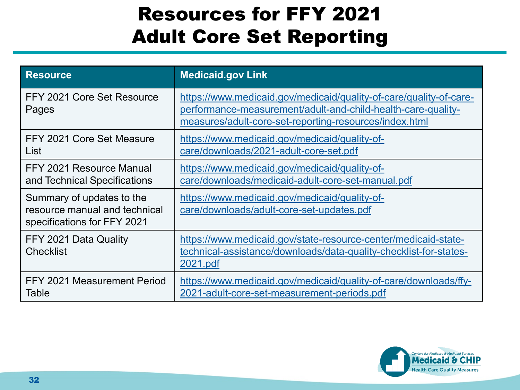### Resources for FFY 2021 Adult Core Set Reporting

| Resource                                                                                  | <b>Medicaid.gov Link</b>                                                                                                                                                                     |
|-------------------------------------------------------------------------------------------|----------------------------------------------------------------------------------------------------------------------------------------------------------------------------------------------|
| FFY 2021 Core Set Resource<br>Pages                                                       | https://www.medicaid.gov/medicaid/quality-of-care/quality-of-care-<br>performance-measurement/adult-and-child-health-care-quality-<br>measures/adult-core-set-reporting-resources/index.html |
| FFY 2021 Core Set Measure<br>List                                                         | https://www.medicaid.gov/medicaid/quality-of-<br>care/downloads/2021-adult-core-set.pdf                                                                                                      |
| FFY 2021 Resource Manual<br>and Technical Specifications                                  | https://www.medicaid.gov/medicaid/quality-of-<br>care/downloads/medicaid-adult-core-set-manual.pdf                                                                                           |
| Summary of updates to the<br>resource manual and technical<br>specifications for FFY 2021 | https://www.medicaid.gov/medicaid/quality-of-<br>care/downloads/adult-core-set-updates.pdf                                                                                                   |
| FFY 2021 Data Quality<br><b>Checklist</b>                                                 | https://www.medicaid.gov/state-resource-center/medicaid-state-<br>technical-assistance/downloads/data-quality-checklist-for-states-<br>2021.pdf                                              |
| FFY 2021 Measurement Period<br><b>Table</b>                                               | https://www.medicaid.gov/medicaid/quality-of-care/downloads/ffy-<br>2021-adult-core-set-measurement-periods.pdf                                                                              |

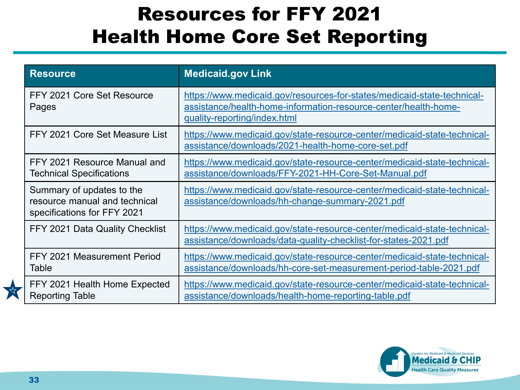### Resources for FFY 2021 Health Home Core Set Reporting

| <b>Resource</b>                                                                           | <b>Medicaid.gov Link</b>                                                                                                                                                   |
|-------------------------------------------------------------------------------------------|----------------------------------------------------------------------------------------------------------------------------------------------------------------------------|
| FFY 2021 Core Set Resource<br>Pages                                                       | https://www.medicaid.gov/resources-for-states/medicaid-state-technical-<br>assistance/health-home-information-resource-center/health-home-<br>quality-reporting/index.html |
| FFY 2021 Core Set Measure List                                                            | https://www.medicaid.gov/state-resource-center/medicaid-state-technical-<br>assistance/downloads/2021-health-home-core-set.pdf                                             |
| FFY 2021 Resource Manual and<br>Technical Specifications                                  | https://www.medicaid.gov/state-resource-center/medicaid-state-technical-<br>assistance/downloads/FFY-2021-HH-Core-Set-Manual.pdf                                           |
| Summary of updates to the<br>resource manual and technical<br>specifications for FFY 2021 | https://www.medicaid.gov/state-resource-center/medicaid-state-technical-<br>assistance/downloads/hh-change-summary-2021.pdf                                                |
| FFY 2021 Data Quality Checklist                                                           | https://www.medicaid.gov/state-resource-center/medicaid-state-technical-<br>assistance/downloads/data-quality-checklist-for-states-2021.pdf                                |
| FFY 2021 Measurement Period<br>Table                                                      | https://www.medicaid.gov/state-resource-center/medicaid-state-technical-<br>assistance/downloads/hh-core-set-measurement-period-table-2021.pdf                             |
| FFY 2021 Health Home Expected<br><b>Reporting Table</b>                                   | https://www.medicaid.gov/state-resource-center/medicaid-state-technical-<br>assistance/downloads/health-home-reporting-table.pdf                                           |



 $\sum_{i=1}^{n}$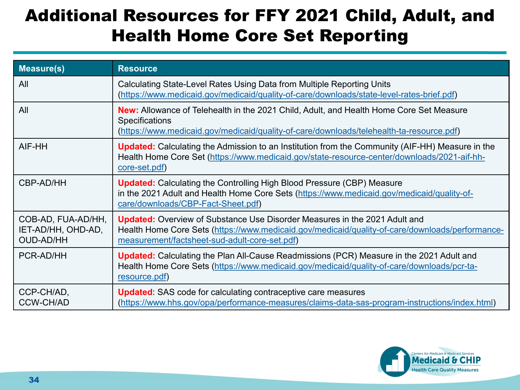### Additional Resources for FFY 2021 Child, Adult, and Health Home Core Set Reporting

| Measure(s)                                                   | <b>Resource</b>                                                                                                                                                                                                                       |
|--------------------------------------------------------------|---------------------------------------------------------------------------------------------------------------------------------------------------------------------------------------------------------------------------------------|
| All                                                          | Calculating State-Level Rates Using Data from Multiple Reporting Units<br>(https://www.medicaid.gov/medicaid/quality-of-care/downloads/state-level-rates-brief.pdf)                                                                   |
| All                                                          | <b>New:</b> Allowance of Telehealth in the 2021 Child, Adult, and Health Home Core Set Measure<br><b>Specifications</b><br>(https://www.medicaid.gov/medicaid/quality-of-care/downloads/telehealth-ta-resource.pdf)                   |
| AIF-HH                                                       | <b>Updated:</b> Calculating the Admission to an Institution from the Community (AIF-HH) Measure in the<br>Health Home Core Set (https://www.medicaid.gov/state-resource-center/downloads/2021-aif-hh-<br>core-set.pdf)                |
| CBP-AD/HH                                                    | <b>Updated:</b> Calculating the Controlling High Blood Pressure (CBP) Measure<br>in the 2021 Adult and Health Home Core Sets (https://www.medicaid.gov/medicaid/quality-of-<br>care/downloads/CBP-Fact-Sheet.pdf)                     |
| COB-AD, FUA-AD/HH,<br>IET-AD/HH, OHD-AD,<br><b>OUD-AD/HH</b> | <b>Updated:</b> Overview of Substance Use Disorder Measures in the 2021 Adult and<br>Health Home Core Sets (https://www.medicaid.gov/medicaid/quality-of-care/downloads/performance-<br>measurement/factsheet-sud-adult-core-set.pdf) |
| PCR-AD/HH                                                    | <b>Updated:</b> Calculating the Plan All-Cause Readmissions (PCR) Measure in the 2021 Adult and<br>Health Home Core Sets (https://www.medicaid.gov/medicaid/quality-of-care/downloads/pcr-ta-<br>resource.pdf)                        |
| CCP-CH/AD,<br><b>CCW-CH/AD</b>                               | <b>Updated:</b> SAS code for calculating contraceptive care measures<br>(https://www.hhs.gov/opa/performance-measures/claims-data-sas-program-instructions/index.html)                                                                |

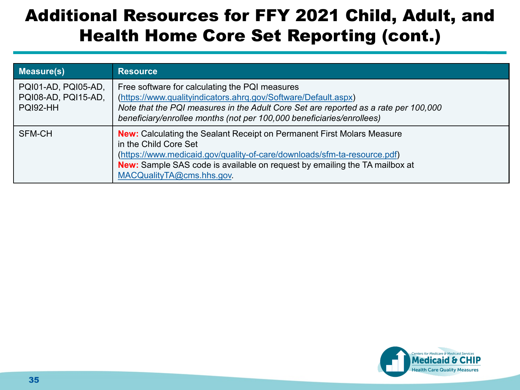#### Additional Resources for FFY 2021 Child, Adult, and Health Home Core Set Reporting (cont.)

| <b>Measure(s)</b>                                      | <b>Resource</b>                                                                                                                                                                                                                                                                               |
|--------------------------------------------------------|-----------------------------------------------------------------------------------------------------------------------------------------------------------------------------------------------------------------------------------------------------------------------------------------------|
| PQI01-AD, PQI05-AD,<br>PQI08-AD, PQI15-AD,<br>PQI92-HH | Free software for calculating the PQI measures<br>(https://www.qualityindicators.ahrq.gov/Software/Default.aspx)<br>Note that the PQI measures in the Adult Core Set are reported as a rate per 100,000<br>beneficiary/enrollee months (not per 100,000 beneficiaries/enrollees)              |
| SFM-CH                                                 | <b>New:</b> Calculating the Sealant Receipt on Permanent First Molars Measure<br>in the Child Core Set<br>(https://www.medicaid.gov/quality-of-care/downloads/sfm-ta-resource.pdf)<br>New: Sample SAS code is available on request by emailing the TA mailbox at<br>MACQualityTA@cms.hhs.gov. |

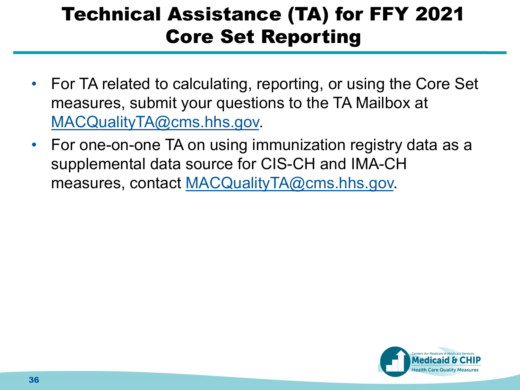### Technical Assistance (TA) for FFY 2021 Core Set Reporting

- For TA related to calculating, reporting, or using the Core Set measures, submit your questions to the TA Mailbox at [MACQualityTA@cms.hhs.gov.](mailto:MACQualityTA@cms.hhs.gov)
- For one-on-one TA on using immunization registry data as a supplemental data source for CIS-CH and IMA-CH measures, contact [MACQualityTA@cms.hhs.gov.](mailto:MACQualityTA@cms.hhs.gov)

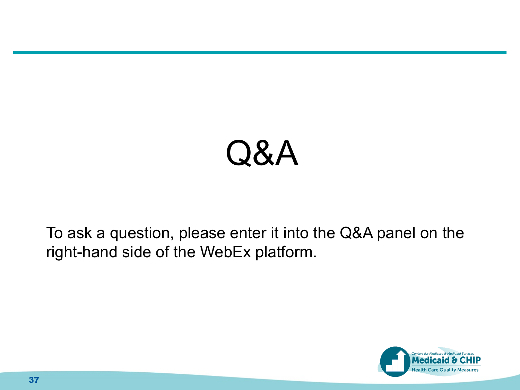# Q&A

To ask a question, please enter it into the Q&A panel on the right-hand side of the WebEx platform.

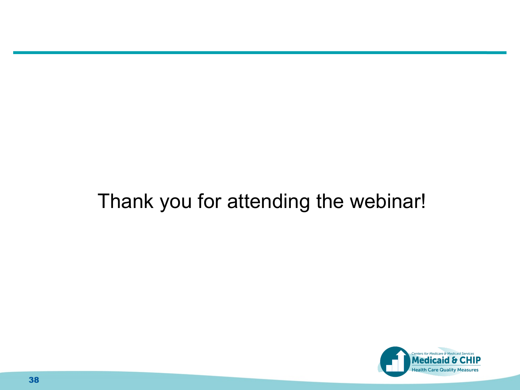### Thank you for attending the webinar!

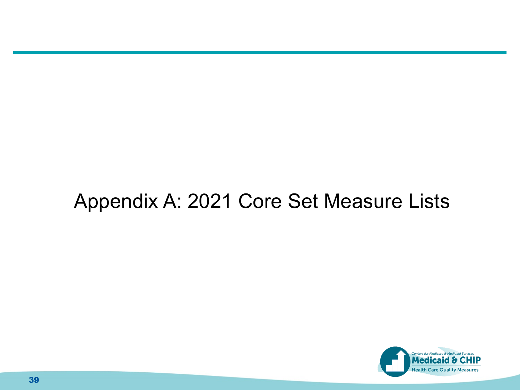### Appendix A: 2021 Core Set Measure Lists

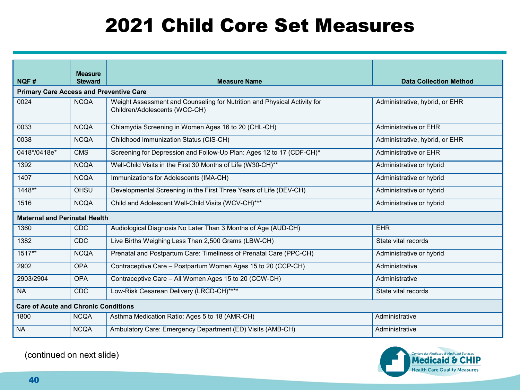### 2021 Child Core Set Measures

|                                                | <b>Measure</b> |                                                                                                           |                                |
|------------------------------------------------|----------------|-----------------------------------------------------------------------------------------------------------|--------------------------------|
| NQF#                                           | <b>Steward</b> | <b>Measure Name</b>                                                                                       | <b>Data Collection Method</b>  |
| <b>Primary Care Access and Preventive Care</b> |                |                                                                                                           |                                |
| 0024                                           | <b>NCQA</b>    | Weight Assessment and Counseling for Nutrition and Physical Activity for<br>Children/Adolescents (WCC-CH) | Administrative, hybrid, or EHR |
| 0033                                           | <b>NCQA</b>    | Chlamydia Screening in Women Ages 16 to 20 (CHL-CH)                                                       | Administrative or EHR          |
| 0038                                           | <b>NCQA</b>    | Childhood Immunization Status (CIS-CH)                                                                    | Administrative, hybrid, or EHR |
| 0418*/0418e*                                   | <b>CMS</b>     | Screening for Depression and Follow-Up Plan: Ages 12 to 17 (CDF-CH)^                                      | Administrative or EHR          |
| 1392                                           | <b>NCQA</b>    | Well-Child Visits in the First 30 Months of Life (W30-CH)**                                               | Administrative or hybrid       |
| 1407                                           | <b>NCQA</b>    | Immunizations for Adolescents (IMA-CH)                                                                    | Administrative or hybrid       |
| 1448**                                         | OHSU           | Developmental Screening in the First Three Years of Life (DEV-CH)                                         | Administrative or hybrid       |
| 1516                                           | <b>NCQA</b>    | Child and Adolescent Well-Child Visits (WCV-CH)***                                                        | Administrative or hybrid       |
| <b>Maternal and Perinatal Health</b>           |                |                                                                                                           |                                |
| 1360                                           | <b>CDC</b>     | Audiological Diagnosis No Later Than 3 Months of Age (AUD-CH)                                             | <b>EHR</b>                     |
| 1382                                           | CDC            | Live Births Weighing Less Than 2,500 Grams (LBW-CH)                                                       | State vital records            |
| $1517**$                                       | <b>NCQA</b>    | Prenatal and Postpartum Care: Timeliness of Prenatal Care (PPC-CH)                                        | Administrative or hybrid       |
| 2902                                           | <b>OPA</b>     | Contraceptive Care - Postpartum Women Ages 15 to 20 (CCP-CH)                                              | Administrative                 |
| 2903/2904                                      | <b>OPA</b>     | Contraceptive Care - All Women Ages 15 to 20 (CCW-CH)                                                     | Administrative                 |
| <b>NA</b>                                      | <b>CDC</b>     | Low-Risk Cesarean Delivery (LRCD-CH)****                                                                  | State vital records            |
| <b>Care of Acute and Chronic Conditions</b>    |                |                                                                                                           |                                |
| 1800                                           | <b>NCQA</b>    | Asthma Medication Ratio: Ages 5 to 18 (AMR-CH)                                                            | Administrative                 |
| <b>NA</b>                                      | <b>NCQA</b>    | Ambulatory Care: Emergency Department (ED) Visits (AMB-CH)                                                | Administrative                 |



(continued on next slide)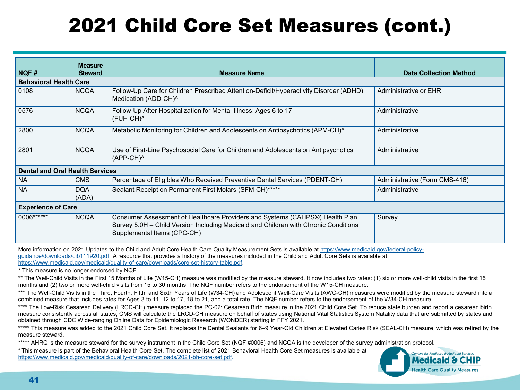### 2021 Child Core Set Measures (cont.)

|                                        | <b>Measure</b>      |                                                                                                                                                                                                    |                               |
|----------------------------------------|---------------------|----------------------------------------------------------------------------------------------------------------------------------------------------------------------------------------------------|-------------------------------|
| NQF#                                   | <b>Steward</b>      | <b>Measure Name</b>                                                                                                                                                                                | <b>Data Collection Method</b> |
| <b>Behavioral Health Care</b>          |                     |                                                                                                                                                                                                    |                               |
| 0108                                   | <b>NCQA</b>         | Follow-Up Care for Children Prescribed Attention-Deficit/Hyperactivity Disorder (ADHD)<br>Medication (ADD-CH) <sup>^</sup>                                                                         | Administrative or EHR         |
| 0576                                   | <b>NCQA</b>         | Follow-Up After Hospitalization for Mental Illness: Ages 6 to 17<br>(FUH-CH) <sup>^</sup>                                                                                                          | Administrative                |
| 2800                                   | <b>NCQA</b>         | Metabolic Monitoring for Children and Adolescents on Antipsychotics (APM-CH) <sup>^</sup>                                                                                                          | Administrative                |
| 2801                                   | <b>NCQA</b>         | Use of First-Line Psychosocial Care for Children and Adolescents on Antipsychotics<br>$(APP-CH)^1$                                                                                                 | Administrative                |
| <b>Dental and Oral Health Services</b> |                     |                                                                                                                                                                                                    |                               |
| <b>NA</b>                              | <b>CMS</b>          | Percentage of Eligibles Who Received Preventive Dental Services (PDENT-CH)                                                                                                                         | Administrative (Form CMS-416) |
| <b>NA</b>                              | <b>DQA</b><br>(ADA) | Sealant Receipt on Permanent First Molars (SFM-CH)*****                                                                                                                                            | Administrative                |
| <b>Experience of Care</b>              |                     |                                                                                                                                                                                                    |                               |
| 0006******                             | <b>NCQA</b>         | Consumer Assessment of Healthcare Providers and Systems (CAHPS®) Health Plan<br>Survey 5.0H - Child Version Including Medicaid and Children with Chronic Conditions<br>Supplemental Items (CPC-CH) | Survey                        |

[More information on 2021 Updates to the Child and Adult Core Health Care Quality Measurement Sets is available at https://www.medicaid.gov/federal-policy](https://www.medicaid.gov/federal-policy-guidance/downloads/cib111920.pdf)guidance/downloads/cib111920.pdf. A resource that provides a history of the measures included in the Child and Adult Core Sets is available at [https://www.medicaid.gov/medicaid/quality-of-care/downloads/core-set-history-table.pdf.](https://www.medicaid.gov/medicaid/quality-of-care/downloads/core-set-history-table.pdf)

\* This measure is no longer endorsed by NQF.

\*\* The Well-Child Visits in the First 15 Months of Life (W15-CH) measure was modified by the measure steward. It now includes two rates: (1) six or more well-child visits in the first 15 months and (2) two or more well-child visits from 15 to 30 months. The NQF number refers to the endorsement of the W15-CH measure.

\*\*\* The Well-Child Visits in the Third, Fourth, Fifth, and Sixth Years of Life (W34-CH) and Adolescent Well-Care Visits (AWC-CH) measures were modified by the measure steward into a combined measure that includes rates for Ages 3 to 11, 12 to 17, 18 to 21, and a total rate. The NQF number refers to the endorsement of the W34-CH measure.

\*\*\*\* The Low-Risk Cesarean Delivery (LRCD-CH) measure replaced the PC-02: Cesarean Birth measure in the 2021 Child Core Set. To reduce state burden and report a cesarean birth measure consistently across all states, CMS will calculate the LRCD-CH measure on behalf of states using National Vital Statistics System Natality data that are submitted by states and obtained through CDC Wide-ranging Online Data for Epidemiologic Research (WONDER) starting in FFY 2021.

\*\*\*\*\* This measure was added to the 2021 Child Core Set. It replaces the Dental Sealants for 6–9 Year-Old Children at Elevated Caries Risk (SEAL-CH) measure, which was retired by the measure steward.

\*\*\*\*\* AHRQ is the measure steward for the survey instrument in the Child Core Set (NQF #0006) and NCQA is the developer of the survey administration protocol.

**˄** This measure is part of the Behavioral Health Core Set. The complete list of 2021 Behavioral Health Core Set measures is available at [https://www.medicaid.gov/medicaid/quality-of-care/downloads/2021-bh-core-set.pdf.](https://www.medicaid.gov/medicaid/quality-of-care/downloads/2021-bh-core-set.pdf)

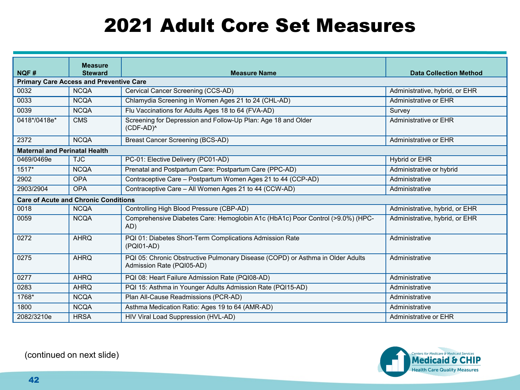### 2021 Adult Core Set Measures

| NQF#                                           | <b>Measure</b><br><b>Steward</b>            | <b>Measure Name</b>                                                                                         | <b>Data Collection Method</b>  |
|------------------------------------------------|---------------------------------------------|-------------------------------------------------------------------------------------------------------------|--------------------------------|
| <b>Primary Care Access and Preventive Care</b> |                                             |                                                                                                             |                                |
| 0032                                           | <b>NCQA</b>                                 | Cervical Cancer Screening (CCS-AD)                                                                          | Administrative, hybrid, or EHR |
| 0033                                           | <b>NCQA</b>                                 | Chlamydia Screening in Women Ages 21 to 24 (CHL-AD)                                                         | Administrative or EHR          |
| 0039                                           | <b>NCQA</b>                                 | Flu Vaccinations for Adults Ages 18 to 64 (FVA-AD)                                                          | Survey                         |
| 0418*/0418e*                                   | <b>CMS</b>                                  | Screening for Depression and Follow-Up Plan: Age 18 and Older<br>(CDF-AD) <sup>^</sup>                      | Administrative or EHR          |
| 2372                                           | <b>NCQA</b>                                 | Breast Cancer Screening (BCS-AD)                                                                            | Administrative or EHR          |
| <b>Maternal and Perinatal Health</b>           |                                             |                                                                                                             |                                |
| 0469/0469e                                     | <b>TJC</b>                                  | PC-01: Elective Delivery (PC01-AD)                                                                          | Hybrid or EHR                  |
| 1517*                                          | <b>NCQA</b>                                 | Prenatal and Postpartum Care: Postpartum Care (PPC-AD)                                                      | Administrative or hybrid       |
| 2902                                           | <b>OPA</b>                                  | Contraceptive Care - Postpartum Women Ages 21 to 44 (CCP-AD)                                                | Administrative                 |
| 2903/2904                                      | <b>OPA</b>                                  | Contraceptive Care - All Women Ages 21 to 44 (CCW-AD)                                                       | Administrative                 |
|                                                | <b>Care of Acute and Chronic Conditions</b> |                                                                                                             |                                |
| 0018                                           | <b>NCQA</b>                                 | Controlling High Blood Pressure (CBP-AD)                                                                    | Administrative, hybrid, or EHR |
| 0059                                           | <b>NCQA</b>                                 | Comprehensive Diabetes Care: Hemoglobin A1c (HbA1c) Poor Control (>9.0%) (HPC-<br>AD)                       | Administrative, hybrid, or EHR |
| 0272                                           | <b>AHRQ</b>                                 | PQI 01: Diabetes Short-Term Complications Admission Rate<br>(PQI01-AD)                                      | Administrative                 |
| 0275                                           | <b>AHRQ</b>                                 | PQI 05: Chronic Obstructive Pulmonary Disease (COPD) or Asthma in Older Adults<br>Admission Rate (PQI05-AD) | Administrative                 |
| 0277                                           | <b>AHRO</b>                                 | PQI 08: Heart Failure Admission Rate (PQI08-AD)                                                             | Administrative                 |
| 0283                                           | <b>AHRQ</b>                                 | PQI 15: Asthma in Younger Adults Admission Rate (PQI15-AD)                                                  | Administrative                 |
| 1768*                                          | <b>NCQA</b>                                 | Plan All-Cause Readmissions (PCR-AD)                                                                        | Administrative                 |
| 1800                                           | <b>NCQA</b>                                 | Asthma Medication Ratio: Ages 19 to 64 (AMR-AD)                                                             | Administrative                 |
| 2082/3210e                                     | <b>HRSA</b>                                 | HIV Viral Load Suppression (HVL-AD)                                                                         | Administrative or EHR          |



(continued on next slide)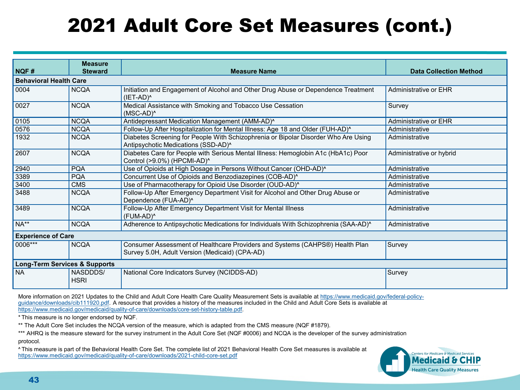### 2021 Adult Core Set Measures (cont.)

|                                          | <b>Measure</b>                |                                                                                                                                |                               |  |
|------------------------------------------|-------------------------------|--------------------------------------------------------------------------------------------------------------------------------|-------------------------------|--|
| NQF#                                     | <b>Steward</b>                | <b>Measure Name</b>                                                                                                            | <b>Data Collection Method</b> |  |
|                                          | <b>Behavioral Health Care</b> |                                                                                                                                |                               |  |
| 0004                                     | <b>NCQA</b>                   | Initiation and Engagement of Alcohol and Other Drug Abuse or Dependence Treatment<br>$(IET-AD)^0$                              | Administrative or EHR         |  |
| 0027                                     | <b>NCQA</b>                   | Medical Assistance with Smoking and Tobacco Use Cessation<br>$(MSC-AD)^0$                                                      | Survey                        |  |
| 0105                                     | <b>NCOA</b>                   | Antidepressant Medication Management (AMM-AD)^                                                                                 | Administrative or EHR         |  |
| 0576                                     | <b>NCQA</b>                   | Follow-Up After Hospitalization for Mental Illness: Age 18 and Older (FUH-AD)^                                                 | Administrative                |  |
| 1932                                     | <b>NCQA</b>                   | Diabetes Screening for People With Schizophrenia or Bipolar Disorder Who Are Using<br>Antipsychotic Medications (SSD-AD)^      | Administrative                |  |
| 2607                                     | <b>NCQA</b>                   | Diabetes Care for People with Serious Mental Illness: Hemoglobin A1c (HbA1c) Poor<br>Control (>9.0%) (HPCMI-AD)^               | Administrative or hybrid      |  |
| 2940                                     | <b>PQA</b>                    | Use of Opioids at High Dosage in Persons Without Cancer (OHD-AD)^                                                              | Administrative                |  |
| 3389                                     | <b>PQA</b>                    | Concurrent Use of Opioids and Benzodiazepines (COB-AD)^                                                                        | Administrative                |  |
| 3400                                     | <b>CMS</b>                    | Use of Pharmacotherapy for Opioid Use Disorder (OUD-AD)^                                                                       | Administrative                |  |
| 3488                                     | <b>NCQA</b>                   | Follow-Up After Emergency Department Visit for Alcohol and Other Drug Abuse or<br>Dependence (FUA-AD)^                         | Administrative                |  |
| 3489                                     | <b>NCQA</b>                   | Follow-Up After Emergency Department Visit for Mental Illness<br>(FUM-AD) <sup>^</sup>                                         | Administrative                |  |
| $NA**$                                   | <b>NCQA</b>                   | Adherence to Antipsychotic Medications for Individuals With Schizophrenia (SAA-AD) <sup>^</sup>                                | Administrative                |  |
| <b>Experience of Care</b>                |                               |                                                                                                                                |                               |  |
| 0006***                                  | <b>NCQA</b>                   | Consumer Assessment of Healthcare Providers and Systems (CAHPS®) Health Plan<br>Survey 5.0H, Adult Version (Medicaid) (CPA-AD) | Survey                        |  |
| <b>Long-Term Services &amp; Supports</b> |                               |                                                                                                                                |                               |  |
| <b>NA</b>                                | NASDDDS/<br><b>HSRI</b>       | National Core Indicators Survey (NCIDDS-AD)                                                                                    | Survey                        |  |

[More information on 2021 Updates to the Child and Adult Core Health Care Quality Measurement Sets is available at https://www.medicaid.gov/federal-policy](https://www.medicaid.gov/federal-policy-guidance/downloads/cib111920.pdf)guidance/downloads/cib111920.pdf. A resource that provides a history of the measures included in the Child and Adult Core Sets is available at [https://www.medicaid.gov/medicaid/quality-of-care/downloads/core-set-history-table.pdf.](https://www.medicaid.gov/medicaid/quality-of-care/downloads/core-set-history-table.pdf)

\* This measure is no longer endorsed by NQF.

\*\* The Adult Core Set includes the NCQA version of the measure, which is adapted from the CMS measure (NQF #1879).

\*\*\* AHRQ is the measure steward for the survey instrument in the Adult Core Set (NQF #0006) and NCQA is the developer of the survey administration protocol.

**˄** This measure is part of the Behavioral Health Core Set. The complete list of 2021 Behavioral Health Core Set measures is available at <https://www.medicaid.gov/medicaid/quality-of-care/downloads/2021-child-core-set.pdf>